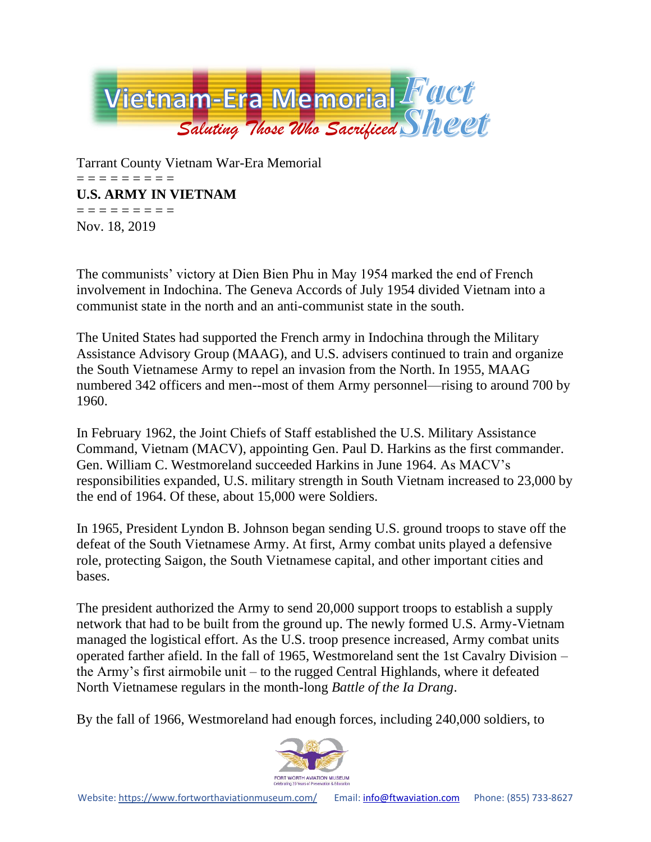

Tarrant County Vietnam War-Era Memorial = = = = = = = = = **U.S. ARMY IN VIETNAM** = = = = = = = = = Nov. 18, 2019

The communists' victory at Dien Bien Phu in May 1954 marked the end of French involvement in Indochina. The Geneva Accords of July 1954 divided Vietnam into a communist state in the north and an anti-communist state in the south.

The United States had supported the French army in Indochina through the Military Assistance Advisory Group (MAAG), and U.S. advisers continued to train and organize the South Vietnamese Army to repel an invasion from the North. In 1955, MAAG numbered 342 officers and men--most of them Army personnel—rising to around 700 by 1960.

In February 1962, the Joint Chiefs of Staff established the U.S. Military Assistance Command, Vietnam (MACV), appointing Gen. Paul D. Harkins as the first commander. Gen. William C. Westmoreland succeeded Harkins in June 1964. As MACV's responsibilities expanded, U.S. military strength in South Vietnam increased to 23,000 by the end of 1964. Of these, about 15,000 were Soldiers.

In 1965, President Lyndon B. Johnson began sending U.S. ground troops to stave off the defeat of the South Vietnamese Army. At first, Army combat units played a defensive role, protecting Saigon, the South Vietnamese capital, and other important cities and bases.

The president authorized the Army to send 20,000 support troops to establish a supply network that had to be built from the ground up. The newly formed U.S. Army-Vietnam managed the logistical effort. As the U.S. troop presence increased, Army combat units operated farther afield. In the fall of 1965, Westmoreland sent the 1st Cavalry Division – the Army's first airmobile unit – to the rugged Central Highlands, where it defeated North Vietnamese regulars in the month-long *Battle of the Ia Drang*.

By the fall of 1966, Westmoreland had enough forces, including 240,000 soldiers, to